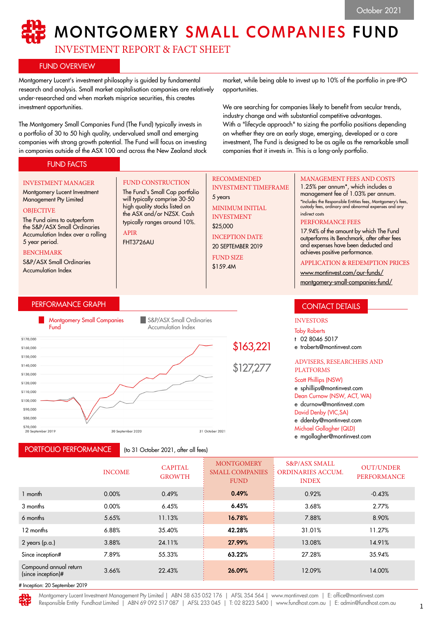# MONTGOMERY SMALL COMPANIES FUND

INVESTMENT REPORT & FACT SHEET

FUND CONSTRUCTION The Fund's Small Cap portfolio will typically comprise 30-50 high quality stocks listed on the ASX and/or NZSX. Cash typically ranges around 10%.

# FUND OVERVIEW

Montgomery Lucent's investment philosophy is guided by fundamental research and analysis. Small market capitalisation companies are relatively under-researched and when markets misprice securities, this creates investment opportunities.

The Montgomery Small Companies Fund (The Fund) typically invests in a portfolio of 30 to 50 high quality, undervalued small and emerging companies with strong growth potential. The Fund will focus on investing in companies outside of the ASX 100 and across the New Zealand stock

market, while being able to invest up to 10% of the portfolio in pre-IPO opportunities.

We are searching for companies likely to benefit from secular trends, industry change and with substantial competitive advantages. With a "lifecycle approach" to sizing the portfolio positions depending on whether they are an early stage, emerging, developed or a core investment, The Fund is designed to be as agile as the remarkable small companies that it invests in. This is a long-only portfolio.

# FUND FACTS

#### INVESTMENT MANAGER

Montgomery Lucent Investment Management Pty Limited **OBJECTIVE** 

#### The Fund aims to outperform the S&P/ASX Small Ordinaries Accumulation Index over a rolling 5 year period.

#### BENCHMARK

S&P/ASX Small Ordinaries Accumulation Index

# PERFORMANCE GRAPH



APIR FHT3726AU

PORTFOLIO PERFORMANCE

(to 31 October 2021, after all fees)

# RECOMMENDED INVESTMENT TIMEFRAME

5 years MINIMUM INITIAL INVESTMENT

\$25,000 INCEPTION DATE 20 SEPTEMBER 2019

FUND SIZE

\$159.4M

### MANAGEMENT FEES AND COSTS

1.25% per annum\*, which includes a management fee of 1.03% per annum. \*Includes the Responsible Entities fees, Montgomery's fees, custody fees, ordinary and abnormal expenses and any indirect costs

#### PERFORMANCE FEES

17.94% of the amount by which The Fund outperforms its Benchmark, after other fees and expenses have been deducted and achieves positive performance.

#### APPLICATION & REDEMPTION PRICES

[www.montinvest.com/our-funds/](http://www.montinvest.com/our-funds/montgomery-small-companies-fund/)

[montgomery-small-companies-fund/](http://www.montinvest.com/our-funds/montgomery-small-companies-fund/)

# CONTACT DETAILS

#### INVESTORS

Toby Roberts

t 02 8046 5017

e troberts@montinvest.com

#### ADVISERS, RESEARCHERS AND PLATFORMS

#### Scott Phillips (NSW)

e sphillips@montinvest.com Dean Curnow (NSW, ACT, WA) e dcurnow@montinvest.com David Denby (VIC,SA) e ddenby@montinvest.com Michael Gollagher (QLD)

e mgollagher@montinvest.com

|                                              | <b>INCOME</b> | <b>CAPITAL</b><br><b>GROWTH</b> | <b>MONTGOMERY</b><br><b>SMALL COMPANIES</b><br><b>FUND</b> | <b>S&amp;P/ASX SMALL</b><br><b>ORDINARIES ACCUM.</b><br><b>INDEX</b> | <b>OUT/UNDER</b><br>PERFORMANCE |
|----------------------------------------------|---------------|---------------------------------|------------------------------------------------------------|----------------------------------------------------------------------|---------------------------------|
| 1 month                                      | 0.00%         | 0.49%                           | 0.49%                                                      | 0.92%                                                                | $-0.43%$                        |
| 3 months                                     | 0.00%         | 6.45%                           | 6.45%                                                      | 3.68%                                                                | 2.77%                           |
| 6 months                                     | 5.65%         | 11.13%                          | 16.78%                                                     | 7.88%                                                                | 8.90%                           |
| 12 months                                    | 6.88%         | 35.40%                          | 42.28%                                                     | 31.01%                                                               | 11.27%                          |
| 2 years (p.a.)                               | 3.88%         | 24.11%                          | 27.99%                                                     | 13.08%                                                               | 14.91%                          |
| Since inception#                             | 7.89%         | 55.33%                          | 63.22%                                                     | 27.28%                                                               | 35.94%                          |
| Compound annual return<br>(since inception)# | 3.66%         | 22.43%                          | 26.09%                                                     | 12.09%                                                               | 14.00%                          |
| t Ingentian: 20 Cantamber 2010               |               |                                 |                                                            |                                                                      |                                 |

tion: 20 September 2019

Montgomery Lucent Investment Management Pty Limited | ABN 58 635 052 176 | AFSL 354 564 | www.montinvest.com | E: office@montinvest.com Responsible Entity Fundhost Limited | ABN 69 092 517 087 | AFSL 233 045 | T: 02 8223 5400 | www.fundhost.com.au | E: admin@fundhost.com.au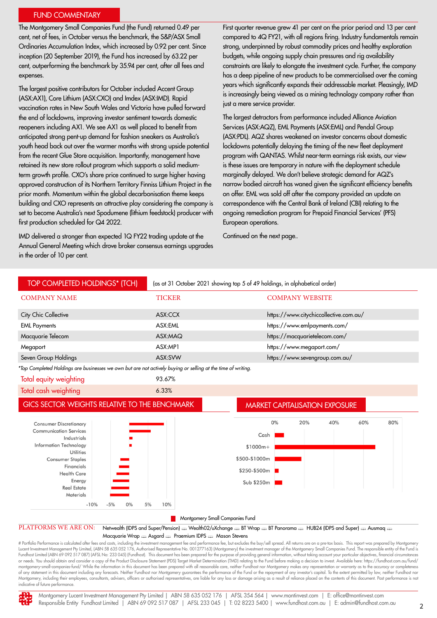# FUND COMMENTARY

The Montgomery Small Companies Fund (the Fund) returned 0.49 per cent, net of fees, in October versus the benchmark, the S&P/ASX Small Ordinaries Accumulation Index, which increased by 0.92 per cent. Since inception (20 September 2019), the Fund has increased by 63.22 per cent, outperforming the benchmark by 35.94 per cent, after all fees and expenses.

The largest positive contributors for October included Accent Group (ASX:AX1), Core Lithium (ASX:CXO) and Imdex (ASX:IMD). Rapid vaccination rates in New South Wales and Victoria have pulled forward the end of lockdowns, improving investor sentiment towards domestic reopeners including AX1. We see AX1 as well placed to benefit from anticipated strong pent-up demand for fashion sneakers as Australia's youth head back out over the warmer months with strong upside potential from the recent Glue Store acquisition. Importantly, management have retained its new store rollout program which supports a solid mediumterm growth profile. CXO's share price continued to surge higher having approved construction of its Northern Territory Finniss Lithium Project in the prior month. Momentum within the global decarbonisation theme keeps building and CXO represents an attractive play considering the company is set to become Australia's next Spodumene (lithium feedstock) producer with first production scheduled for Q4 2022.

IMD delivered a stronger than expected 1Q FY22 trading update at the Annual General Meeting which drove broker consensus earnings upgrades in the order of 10 per cent.

First quarter revenue grew 41 per cent on the prior period and 13 per cent compared to 4Q FY21, with all regions firing. Industry fundamentals remain strong, underpinned by robust commodity prices and healthy exploration budgets, while ongoing supply chain pressures and rig availability constraints are likely to elongate the investment cycle. Further, the company has a deep pipeline of new products to be commercialised over the coming years which significantly expands their addressable market. Pleasingly, IMD is increasingly being viewed as a mining technology company rather than just a mere service provider.

The largest detractors from performance included Alliance Aviation Services (ASX:AQZ), EML Payments (ASX:EML) and Pendal Group (ASX:PDL). AQZ shares weakened on investor concerns about domestic lockdowns potentially delaying the timing of the new fleet deployment program with QANTAS. Whilst near-term earnings risk exists, our view is these issues are temporary in nature with the deployment schedule marginally delayed. We don't believe strategic demand for AQZ's narrow bodied aircraft has waned given the significant efficiency benefits on offer. EML was sold off after the company provided an update on correspondence with the Central Bank of Ireland (CBI) relating to the ongoing remediation program for Prepaid Financial Services' (PFS) European operations.

Continued on the next page..



# Portfolio Performance is calculated after fees and costs, including the investment management fee and performance fee, but excludes the buy/sell spread. All returns are on a pre-tax basis. This report was prepared by Mon Lucent Investment Management Pty Limited, (ABN 58 635 052 176, Authorised Representative No. 001277163) (Montgomery) the investment manager of the Montgomery Small Companies Fund. The responsible entity of the Fund is<br>Fund or needs. You should obtain and consider a copy of the Product Disclosure Statement (PDS) Target Market Determination (TMD) relating to the Fund before making a decision to invest. Available here: https://fundhost.com.au/f montgomery-small-companies-fund/ While the information in this document has been prepared with all reasonable care, neither Fundhost nor Montgomery makes any representation or warranty as to the accuracy or completeness of any statement in this document including any forecasts. Neither Fundhost nor Montgomery guarantees the performance of the Fund or the repayment of any investor's capital. To the extent permitted by law, neither Fundhost Montgomery, including their employees, consultants, advisers, officers or authorised representatives, are liable for any loss or damage arising as a result of reliance placed on the contents of this document. Past performa indicative of future performance.